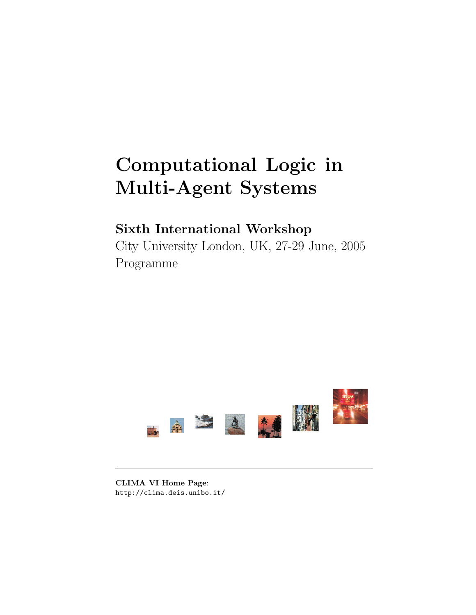# Computational Logic in Multi-Agent Systems

# Sixth International Workshop

City University London, UK, 27-29 June, 2005 Programme



CLIMA VI Home Page: http://clima.deis.unibo.it/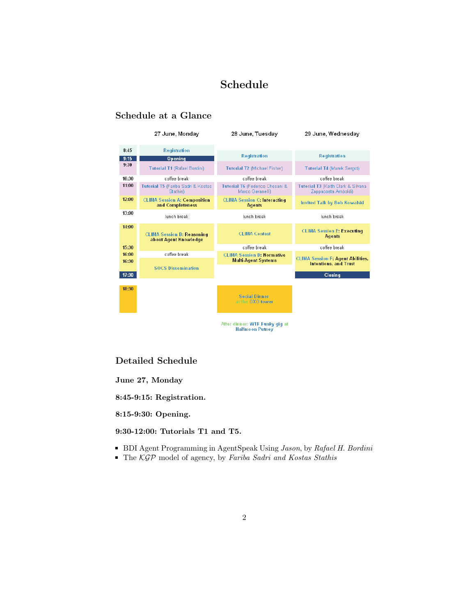# Schedule

# Schedule at a Glance

|       | 27 June, Monday                                            | 28 June, Tuesday                                         | 29 June, Wednesdav                                        |
|-------|------------------------------------------------------------|----------------------------------------------------------|-----------------------------------------------------------|
| 8:45  | <b>Registration</b>                                        |                                                          |                                                           |
| 9:15  | <b>Opening</b>                                             | <b>Registration</b>                                      | <b>Registration</b>                                       |
| 9:30  | <b>Tutorial T1 (Rafael Bordini)</b>                        | <b>Tutorial T2 (Michael Fisher)</b>                      | <b>Tutorial T4 (Marek Sergot)</b>                         |
| 10:30 | coffee break                                               | coffee break                                             | coffee break                                              |
| 11:00 | Tutorial T5 (Fariba Sadri & Kostas<br>Stathis)             | Tutorial T6 (Federico Chesani &<br>Marco Gavanelli)      | Tutorial T3 (Keith Clark & Silvana<br>Zappacosta Amboldi) |
| 12:00 | <b>CLIMA Session A: Composition</b><br>and Completeness    | <b>CLIMA Session C: Interacting</b><br><b>Agents</b>     | <b>Invited Talk by Bob Kowalski</b>                       |
| 13:00 | lunch break                                                | lunch break                                              | lunch break                                               |
| 14:00 | <b>CLIMA Session B: Reasoning</b><br>about Agent Knowledge | <b>CLIMA Contest</b>                                     | <b>CLIMA Session E: Executing</b><br><b>Agents</b>        |
| 15:30 |                                                            | coffee break                                             | coffee break                                              |
| 16:00 | coffee break                                               | <b>CLIMA Session D: Normative</b>                        | <b>CLIMA Session F: Agent Abilities,</b>                  |
| 16:30 | <b>SOCS Dissemination</b>                                  | <b>Multi-Agent Systems</b>                               | <b>Intentions, and Trust</b>                              |
| 17:30 |                                                            |                                                          | Closing                                                   |
| 18:30 |                                                            | <b>Social Dinner</b><br>at the OXO tower                 |                                                           |
|       |                                                            | After dinner: WTF Funky gig at<br><b>Halfmoon Putney</b> |                                                           |

## Detailed Schedule

June 27, Monday

8:45-9:15: Registration.

8:15-9:30: Opening.

9:30-12:00: Tutorials T1 and T5.

- **BDI Agent Programming in AgentSpeak Using Jason, by Rafael H. Bordini**
- The KGP model of agency, by Fariba Sadri and Kostas Stathis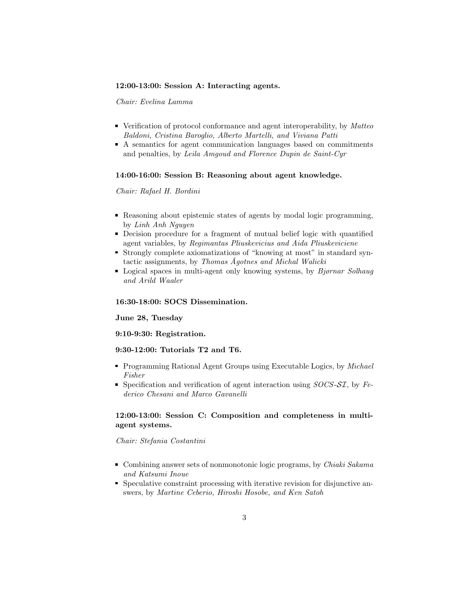#### 12:00-13:00: Session A: Interacting agents.

Chair: Evelina Lamma

- Verification of protocol conformance and agent interoperability, by Matteo Baldoni, Cristina Baroglio, Alberto Martelli, and Viviana Patti
- A semantics for agent communication languages based on commitments and penalties, by Leila Amgoud and Florence Dupin de Saint-Cyr

#### 14:00-16:00: Session B: Reasoning about agent knowledge.

#### Chair: Rafael H. Bordini

- Reasoning about epistemic states of agents by modal logic programming, by Linh Anh Nguyen
- Decision procedure for a fragment of mutual belief logic with quantified agent variables, by Regimantas Pliuskevicius and Aida Pliuskeviciene
- Strongly complete axiomatizations of "knowing at most" in standard syntactic assignments, by Thomas Ågotnes and Michal Walicki
- Logical spaces in multi-agent only knowing systems, by  $Bjørnar Solhaug$ and Arild Waaler

#### 16:30-18:00: SOCS Dissemination.

#### June 28, Tuesday

#### 9:10-9:30: Registration.

#### 9:30-12:00: Tutorials T2 and T6.

- **Programming Rational Agent Groups using Executable Logics, by Michael** Fisher
- Specification and verification of agent interaction using  $SOCS$ - $\mathcal{SI}$ , by Federico Chesani and Marco Gavanelli

#### 12:00-13:00: Session C: Composition and completeness in multiagent systems.

#### Chair: Stefania Costantini

- **Combining answer sets of nonmonotonic logic programs, by Chiaki Sakama** and Katsumi Inoue
- Speculative constraint processing with iterative revision for disjunctive answers, by Martine Ceberio, Hiroshi Hosobe, and Ken Satoh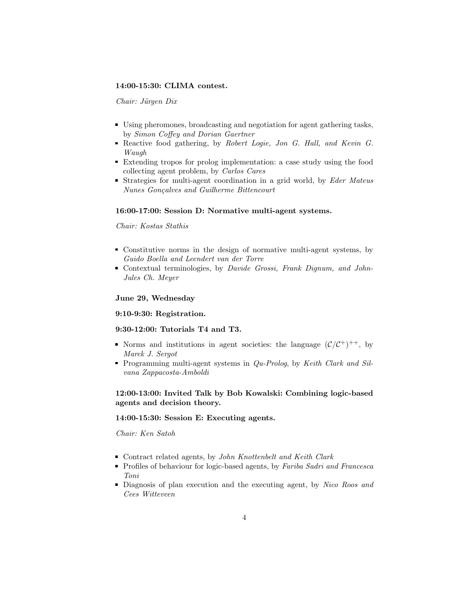#### 14:00-15:30: CLIMA contest.

Chair: Jürgen Dix

- Using pheromones, broadcasting and negotiation for agent gathering tasks, by Simon Coffey and Dorian Gaertner
- Reactive food gathering, by Robert Logie, Jon G. Hall, and Kevin G. Waugh
- Extending tropos for prolog implementation: a case study using the food collecting agent problem, by Carlos Cares
- Strategies for multi-agent coordination in a grid world, by Eder Mateus Nunes Gonçalves and Guilherme Bittencourt

#### 16:00-17:00: Session D: Normative multi-agent systems.

#### Chair: Kostas Stathis

- Constitutive norms in the design of normative multi-agent systems, by Guido Boella and Leendert van der Torre
- Contextual terminologies, by Davide Grossi, Frank Dignum, and John-Jules Ch. Meyer

#### June 29, Wednesday

#### 9:10-9:30: Registration.

#### 9:30-12:00: Tutorials T4 and T3.

- Norms and institutions in agent societies: the language  $(\mathcal{C}/\mathcal{C}^+)^{++}$ , by Marek J. Sergot
- Programming multi-agent systems in  $Qu-Prolog$ , by Keith Clark and Silvana Zappacosta-Amboldi

#### 12:00-13:00: Invited Talk by Bob Kowalski: Combining logic-based agents and decision theory.

#### 14:00-15:30: Session E: Executing agents.

Chair: Ken Satoh

- Contract related agents, by John Knottenbelt and Keith Clark
- Profiles of behaviour for logic-based agents, by Fariba Sadri and Francesca Toni
- Diagnosis of plan execution and the executing agent, by Nico Roos and Cees Witteveen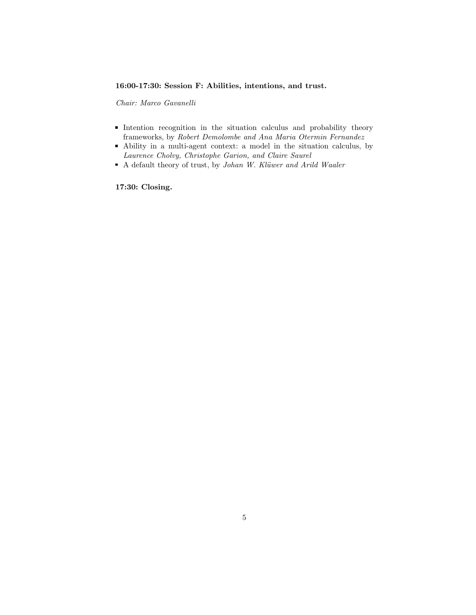#### 16:00-17:30: Session F: Abilities, intentions, and trust.

Chair: Marco Gavanelli

- Intention recognition in the situation calculus and probability theory frameworks, by Robert Demolombe and Ana Maria Otermin Fernandez
- Ability in a multi-agent context: a model in the situation calculus, by Laurence Cholvy, Christophe Garion, and Claire Saurel
- A default theory of trust, by Johan W. Klüwer and Arild Waaler

17:30: Closing.